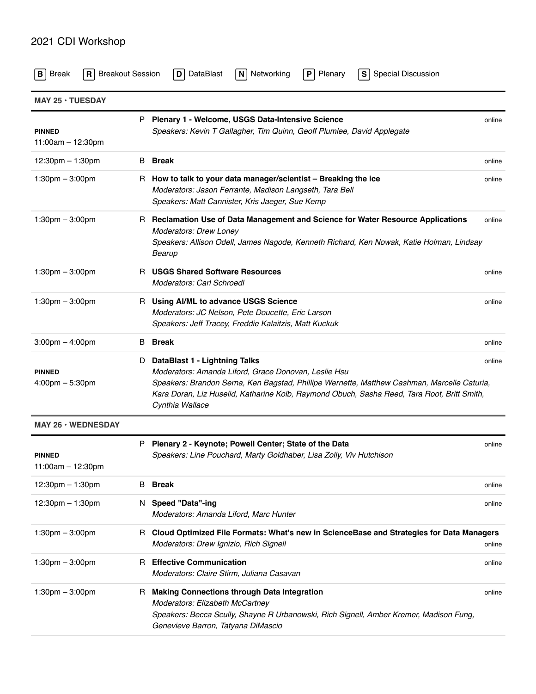## 2021 CDI Workshop

| <b>Breakout Session</b><br><b>Break</b><br>R I<br>В |    | DataBlast<br>Networking<br>Plenary<br><b>Special Discussion</b><br>D<br>$\vert$ N<br>P<br>S.                                                                                                                                                                                                           |        |
|-----------------------------------------------------|----|--------------------------------------------------------------------------------------------------------------------------------------------------------------------------------------------------------------------------------------------------------------------------------------------------------|--------|
| $MAY$ 25 $\cdot$ TUESDAY                            |    |                                                                                                                                                                                                                                                                                                        |        |
| <b>PINNED</b><br>11:00am - 12:30pm                  |    | P Plenary 1 - Welcome, USGS Data-Intensive Science<br>Speakers: Kevin T Gallagher, Tim Quinn, Geoff Plumlee, David Applegate                                                                                                                                                                           | online |
| $12:30 \text{pm} - 1:30 \text{pm}$                  | В  | Break                                                                                                                                                                                                                                                                                                  | online |
| $1:30 \text{pm} - 3:00 \text{pm}$                   | H. | How to talk to your data manager/scientist – Breaking the ice<br>Moderators: Jason Ferrante, Madison Langseth, Tara Bell<br>Speakers: Matt Cannister, Kris Jaeger, Sue Kemp                                                                                                                            | online |
| $1:30 \text{pm} - 3:00 \text{pm}$                   |    | R Reclamation Use of Data Management and Science for Water Resource Applications<br><b>Moderators: Drew Loney</b><br>Speakers: Allison Odell, James Nagode, Kenneth Richard, Ken Nowak, Katie Holman, Lindsay<br>Bearup                                                                                | online |
| $1:30 \text{pm} - 3:00 \text{pm}$                   | н  | <b>USGS Shared Software Resources</b><br>Moderators: Carl Schroedl                                                                                                                                                                                                                                     | online |
| $1:30 \text{pm} - 3:00 \text{pm}$                   | R. | Using AI/ML to advance USGS Science<br>Moderators: JC Nelson, Pete Doucette, Eric Larson<br>Speakers: Jeff Tracey, Freddie Kalaitzis, Matt Kuckuk                                                                                                                                                      | online |
| $3:00 \text{pm} - 4:00 \text{pm}$                   | В  | Break                                                                                                                                                                                                                                                                                                  | online |
| <b>PINNED</b><br>$4:00 \text{pm} - 5:30 \text{pm}$  | D  | DataBlast 1 - Lightning Talks<br>Moderators: Amanda Liford, Grace Donovan, Leslie Hsu<br>Speakers: Brandon Serna, Ken Bagstad, Phillipe Wernette, Matthew Cashman, Marcelle Caturia,<br>Kara Doran, Liz Huselid, Katharine Kolb, Raymond Obuch, Sasha Reed, Tara Root, Britt Smith,<br>Cynthia Wallace | online |
| <b>MAY 26 · WEDNESDAY</b>                           |    |                                                                                                                                                                                                                                                                                                        |        |
| PINNED<br>11:00am $-$ 12:30pm                       | P  | Plenary 2 - Keynote; Powell Center; State of the Data<br>Speakers: Line Pouchard, Marty Goldhaber, Lisa Zolly, Viv Hutchison                                                                                                                                                                           | online |
| 12:30pm $-$ 1:30pm                                  | B  | <b>Break</b>                                                                                                                                                                                                                                                                                           | online |
| 12:30pm $-$ 1:30pm                                  |    | N Speed "Data"-ing<br>Moderators: Amanda Liford, Marc Hunter                                                                                                                                                                                                                                           | online |
| $1:30$ pm $-3:00$ pm                                |    | R Cloud Optimized File Formats: What's new in ScienceBase and Strategies for Data Managers<br>Moderators: Drew Ignizio, Rich Signell                                                                                                                                                                   | online |
| $1:30 \text{pm} - 3:00 \text{pm}$                   |    | R Effective Communication<br>Moderators: Claire Stirm, Juliana Casavan                                                                                                                                                                                                                                 | online |
| $1:30 \text{pm} - 3:00 \text{pm}$                   | н  | <b>Making Connections through Data Integration</b><br>Moderators: Elizabeth McCartney<br>Speakers: Becca Scully, Shayne R Urbanowski, Rich Signell, Amber Kremer, Madison Fung,<br>Genevieve Barron, Tatyana DiMascio                                                                                  | online |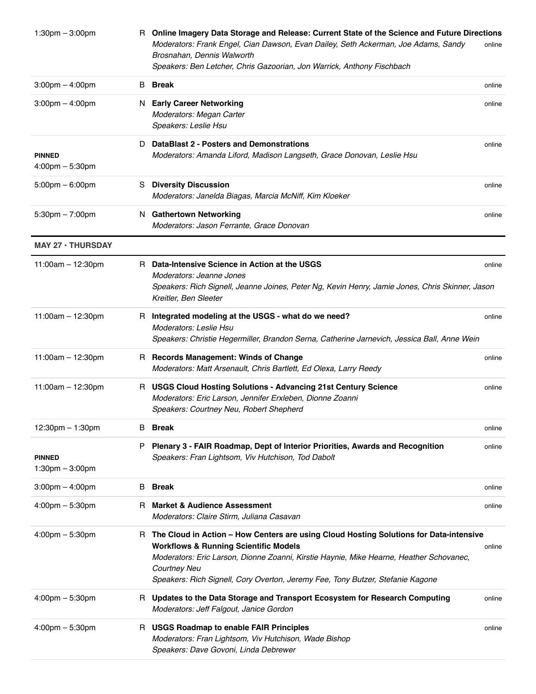| $1:30$ pm $-3:00$ pm                               |    | R Online Imagery Data Storage and Release: Current State of the Science and Future Directions<br>Moderators: Frank Engel, Cian Dawson, Evan Dailey, Seth Ackerman, Joe Adams, Sandy<br>Brosnahan, Dennis Walworth<br>Speakers: Ben Letcher, Chris Gazoorian, Jon Warrick, Anthony Fischbach                                                      | online |
|----------------------------------------------------|----|--------------------------------------------------------------------------------------------------------------------------------------------------------------------------------------------------------------------------------------------------------------------------------------------------------------------------------------------------|--------|
| $3:00 \text{pm} - 4:00 \text{pm}$                  | В  | Break                                                                                                                                                                                                                                                                                                                                            | online |
| $3:00 \text{pm} - 4:00 \text{pm}$                  | N  | <b>Early Career Networking</b><br>Moderators: Megan Carter<br>Speakers: Leslie Hsu                                                                                                                                                                                                                                                               | online |
| <b>PINNED</b><br>$4:00$ pm $-5:30$ pm              | D  | <b>DataBlast 2 - Posters and Demonstrations</b><br>Moderators: Amanda Liford, Madison Langseth, Grace Donovan, Leslie Hsu                                                                                                                                                                                                                        | online |
| $5:00 \text{pm} - 6:00 \text{pm}$                  | S  | <b>Diversity Discussion</b><br>Moderators: Janelda Biagas, Marcia McNiff, Kim Kloeker                                                                                                                                                                                                                                                            | online |
| $5:30 \text{pm} - 7:00 \text{pm}$                  |    | N Gathertown Networking<br>Moderators: Jason Ferrante, Grace Donovan                                                                                                                                                                                                                                                                             | online |
| <b>MAY 27 · THURSDAY</b>                           |    |                                                                                                                                                                                                                                                                                                                                                  |        |
| 11:00am $-$ 12:30pm                                | R. | Data-Intensive Science in Action at the USGS<br>Moderators: Jeanne Jones<br>Speakers: Rich Signell, Jeanne Joines, Peter Ng, Kevin Henry, Jamie Jones, Chris Skinner, Jason<br>Kreitler, Ben Sleeter                                                                                                                                             | online |
| $11:00am - 12:30pm$                                | H. | Integrated modeling at the USGS - what do we need?<br>Moderators: Leslie Hsu<br>Speakers: Christie Hegermiller, Brandon Serna, Catherine Jarnevich, Jessica Ball, Anne Wein                                                                                                                                                                      | online |
| $11:00am - 12:30pm$                                |    | R Records Management: Winds of Change<br>Moderators: Matt Arsenault, Chris Bartlett, Ed Olexa, Larry Reedy                                                                                                                                                                                                                                       | online |
| $11:00am - 12:30pm$                                |    | R USGS Cloud Hosting Solutions - Advancing 21st Century Science<br>Moderators: Eric Larson, Jennifer Erxleben, Dionne Zoanni<br>Speakers: Courtney Neu, Robert Shepherd                                                                                                                                                                          | online |
| 12:30pm - 1:30pm                                   | В  | <b>Break</b>                                                                                                                                                                                                                                                                                                                                     | online |
| <b>PINNED</b><br>$1:30 \text{pm} - 3:00 \text{pm}$ | P  | Plenary 3 - FAIR Roadmap, Dept of Interior Priorities, Awards and Recognition<br>Speakers: Fran Lightsom, Viv Hutchison, Tod Dabolt                                                                                                                                                                                                              | online |
| $3:00 \text{pm} - 4:00 \text{pm}$                  | B  | Break                                                                                                                                                                                                                                                                                                                                            | online |
| $4:00 \text{pm} - 5:30 \text{pm}$                  | н  | <b>Market &amp; Audience Assessment</b><br>Moderators: Claire Stirm, Juliana Casavan                                                                                                                                                                                                                                                             | online |
| $4:00$ pm $-5:30$ pm                               |    | R The Cloud in Action - How Centers are using Cloud Hosting Solutions for Data-intensive<br><b>Workflows &amp; Running Scientific Models</b><br>Moderators: Eric Larson, Dionne Zoanni, Kirstie Haynie, Mike Hearne, Heather Schovanec,<br><b>Courtney Neu</b><br>Speakers: Rich Signell, Cory Overton, Jeremy Fee, Tony Butzer, Stefanie Kagone | online |
| $4:00 \text{pm} - 5:30 \text{pm}$                  | R. | Updates to the Data Storage and Transport Ecosystem for Research Computing<br>Moderators: Jeff Falgout, Janice Gordon                                                                                                                                                                                                                            | online |
| $4:00 \text{pm} - 5:30 \text{pm}$                  |    | R USGS Roadmap to enable FAIR Principles<br>Moderators: Fran Lightsom, Viv Hutchison, Wade Bishop<br>Speakers: Dave Govoni, Linda Debrewer                                                                                                                                                                                                       | online |